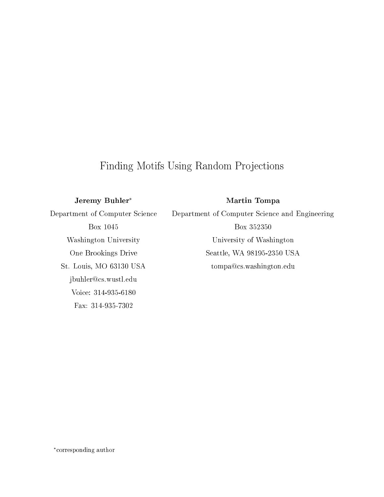# Finding Motifs Using Random Projections

Jeremy Buhler

Martin Tompa

Department of Computer S
ien
e Box 1045 Washington University One Brookings Drive St. Louis, MO 63130 USA jbuhler@cs.wustl.edu Voi
e: 314-935-6180 Fax: 314-935-7302

Department of Computer Science and Engineering Box 352350 University of Washington Seattle, WA 98195-2350 USA tompa
s.washington.edu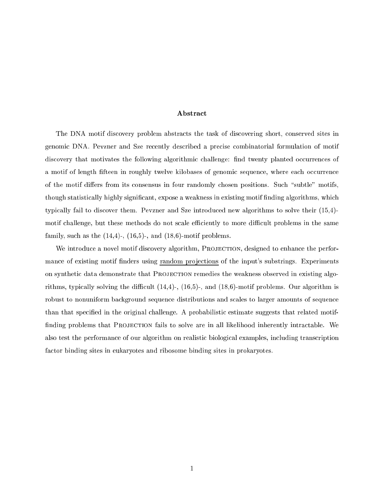#### **Abstract**

The DNA motif discovery problem abstracts the task of discovering short, conserved sites in genomi DNA. Pevzner and Sze re
ently des
ribed a pre
ise ombinatorial formulation of motif discovery that motivates the following algorithmic challenge: find twenty planted occurrences of a motif of length fifteen in roughly twelve kilobases of genomic sequence, where each occurrence of the motif differs from its consensus in four randomly chosen positions. Such "subtle" motifs, though statistically highly significant, expose a weakness in existing motif finding algorithms, which typically fail to discover them. Pevzner and Sze introduced new algorithms to solve their  $(15,4)$ motif challenge, but these methods do not scale efficiently to more difficult problems in the same family, such as the  $(14,4)$ -,  $(16,5)$ -, and  $(18,6)$ -motif problems.

We introduce a novel motif discovery algorithm, PROJECTION, designed to enhance the performance of existing motif finders using random projections of the input's substrings. Experiments on synthetic data demonstrate that PROJECTION remedies the weakness observed in existing algorithms, typically solving the difficult  $(14,4)$ -,  $(16,5)$ -, and  $(18,6)$ -motif problems. Our algorithm is robust to nonuniform background sequence distributions and scales to larger amounts of sequence than that specified in the original challenge. A probabilistic estimate suggests that related motiffinding problems that PROJECTION fails to solve are in all likelihood inherently intractable. We also test the performan
e of our algorithm on realisti biologi
al examples, in
luding trans
ription fa
tor binding sites in eukaryotes and ribosome binding sites in prokaryotes.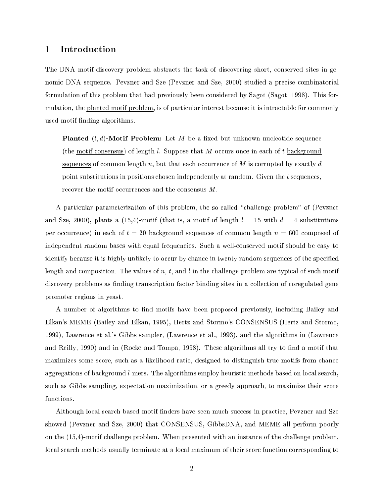### 1 Introduction

The DNA motif discovery problem abstracts the task of discovering short, conserved sites in genomic DNA sequence. Pevzner and Sze (Pevzner and Sze, 2000) studied a precise combinatorial formulation of this problem that had previously been onsidered by Sagot (Sagot, 1998). This formulation, the planted motif problem, is of particular interest because it is intractable for commonly used motif nding algorithms.

**Planted**  $(l, d)$ -**Motif Problem:** Let M be a fixed but unknown nucleotide sequence (the motif consensus) of length  $l$ . Suppose that M occurs once in each of t background sequences of common length n, but that each occurrence of M is corrupted by exactly d point substitutions in positions chosen independently at random. Given the t sequences, recover the motif occurrences and the consensus  $M$ .

A particular parameterization of this problem, the so-called "challenge problem" of (Pevzner and Sze, 2000), plants a  $(15,4)$ -motif (that is, a motif of length  $l = 15$  with  $d = 4$  substitutions per occurrence) in each of  $t = 20$  background sequences of common length  $n = 600$  composed of independent random bases with equal frequencies. Such a well-conserved motif should be easy to identify because it is highly unlikely to occur by chance in twenty random sequences of the specified length and composition. The values of n, t, and l in the challenge problem are typical of such motif discovery problems as finding transcription factor binding sites in a collection of coregulated gene promoter regions in yeast.

A number of algorithms to find motifs have been proposed previously, including Bailey and Elkan's MEME (Bailey and Elkan, 1995), Hertz and Stormo's CONSENSUS (Hertz and Stormo, 1999), Lawren
e et al.'s Gibbs sampler, (Lawren
e et al., 1993), and the algorithms in (Lawren
e and Reilly, 1990) and in (Rocke and Tompa, 1998). These algorithms all try to find a motif that maximizes some score, such as a likelihood ratio, designed to distinguish true motifs from chance aggregations of background *l*-mers. The algorithms employ heuristic methods based on local search, such as Gibbs sampling, expectation maximization, or a greedy approach, to maximize their score functions.

Although local search-based motif finders have seen much success in practice, Pevzner and Sze showed (Pevzner and Sze, 2000) that CONSENSUS, GibbsDNA, and MEME all perform poorly on the (15,4)-motif hallenge problem. When presented with an instan
e of the hallenge problem, local search methods usually terminate at a local maximum of their score function corresponding to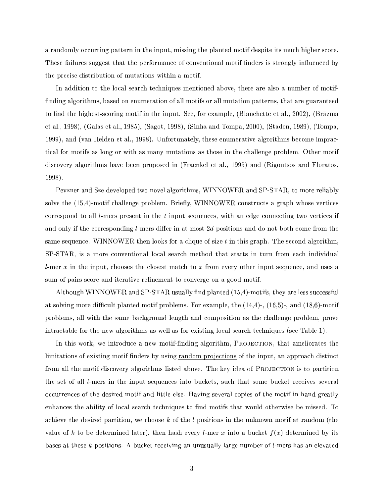a randomly occurring pattern in the input, missing the planted motif despite its much higher score. These failures suggest that the performance of conventional motif finders is strongly influenced by the pre
ise distribution of mutations within a motif.

In addition to the local search techniques mentioned above, there are also a number of motiffinding algorithms, based on enumeration of all motifs or all mutation patterns, that are guaranteed to find the highest-scoring motif in the input. See, for example, (Blanchette et al., 2002), (Brāzma et al., 1998), (Galas et al., 1985), (Sagot, 1998), (Sinha and Tompa, 2000), (Staden, 1989), (Tompa, 1999), and (van Helden et al., 1998). Unfortunately, these enumerative algorithms become impracti
al for motifs as long or with as many mutations as those in the hallenge problem. Other motif dis
overy algorithms have been proposed in (Fraenkel et al., 1995) and (Rigoutsos and Floratos, 1998).

Pevzner and Sze developed two novel algorithms, WINNOWER and SP-STAR, to more reliably solve the  $(15,4)$ -motif challenge problem. Briefly, WINNOWER constructs a graph whose vertices correspond to all  $l$ -mers present in the  $t$  input sequences, with an edge connecting two vertices if and only if the corresponding  $l$ -mers differ in at most 2d positions and do not both come from the same sequence. WINNOWER then looks for a clique of size  $t$  in this graph. The second algorithm, SP-STAR, is a more onventional lo
al sear
h method that starts in turn from ea
h individual l-mer x in the input, chooses the closest match to x from every other input sequence, and uses a sum-of-pairs score and iterative refinement to converge on a good motif.

Although WINNOWER and SP-STAR usually find planted  $(15,4)$ -motifs, they are less successful at solving more difficult planted motif problems. For example, the  $(14,4)$ -,  $(16,5)$ -, and  $(18,6)$ -motif problems, all with the same ba
kground length and omposition as the hallenge problem, prove intractable for the new algorithms as well as for existing local search techniques (see Table 1).

In this work, we introduce a new motif-finding algorithm, PROJECTION, that ameliorates the limitations of existing motif finders by using random projections of the input, an approach distinct from all the motif discovery algorithms listed above. The key idea of PROJECTION is to partition the set of all *l*-mers in the input sequences into buckets, such that some bucket receives several occurrences of the desired motif and little else. Having several copies of the motif in hand greatly enhances the ability of local search techniques to find motifs that would otherwise be missed. To a
hieve the desired partition, we hoose k of the l positions in the unknown motif at random (the value of k to be determined later), then hash every l-mer x into a bucket  $f(x)$  determined by its bases at these k positions. A bu
ket re
eiving an unusually large number of l-mers has an elevated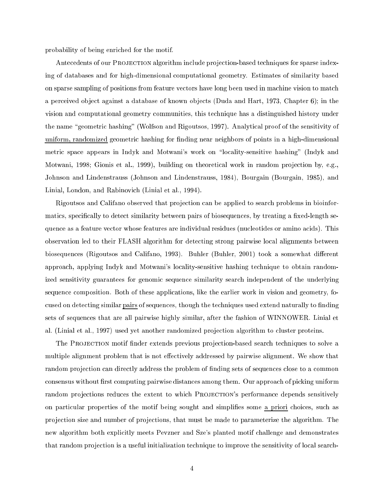probability of being enri
hed for the motif.

Antecedents of our PROJECTION algorithm include projection-based techniques for sparse indexing of databases and for high-dimensional omputational geometry. Estimates of similarity based on sparse sampling of positions from feature vectors have long been used in machine vision to match a perceived object against a database of known objects (Duda and Hart, 1973, Chapter 6); in the vision and omputational geometry ommunities, this te
hnique has a distinguished history under the name "geometric hashing" (Wolfson and Rigoutsos, 1997). Analytical proof of the sensitivity of uniform, randomized geometric hashing for finding near neighbors of points in a high-dimensional metric space appears in Indyk and Motwani's work on "locality-sensitive hashing" (Indyk and Motwani, 1998; Gionis et al., 1999), building on theoretical work in random projection by, e.g., Johnson and Lindenstrauss (Johnson and Lindenstrauss, 1984), Bourgain (Bourgain, 1985), and Linial, London, and Rabinovi
h (Linial et al., 1994).

Rigoutsos and Califano observed that projection can be applied to search problems in bioinformatics, specifically to detect similarity between pairs of biosequences, by treating a fixed-length sequence as a feature vector whose features are individual residues (nucleotides or amino acids). This observation led to their FLASH algorithm for dete
ting strong pairwise lo
al alignments between biosequences (Rigoutsos and Califano, 1993). Buhler (Buhler, 2001) took a somewhat different approach, applying Indyk and Motwani's locality-sensitive hashing technique to obtain randomized sensitivity guarantees for genomic sequence similarity search independent of the underlying sequence composition. Both of these applications, like the earlier work in vision and geometry, focused on detecting similar pairs of sequences, though the techniques used extend naturally to finding sets of sequen
es that are all pairwise highly similar, after the fashion of WINNOWER. Linial et al. (Linial et al., 1997) used yet another randomized projection algorithm to cluster proteins.

The PROJECTION motif finder extends previous projection-based search techniques to solve a multiple alignment problem that is not effectively addressed by pairwise alignment. We show that random projection can directly address the problem of finding sets of sequences close to a common consensus without first computing pairwise distances among them. Our approach of picking uniform random projections reduces the extent to which PROJECTION's performance depends sensitively on particular properties of the motif being sought and simplifies some a priori choices, such as projection size and number of projections, that must be made to parameterize the algorithm. The new algorithm both explicitly meets Pevzner and Sze's planted motif challenge and demonstrates that random projection is a useful initialization technique to improve the sensitivity of local search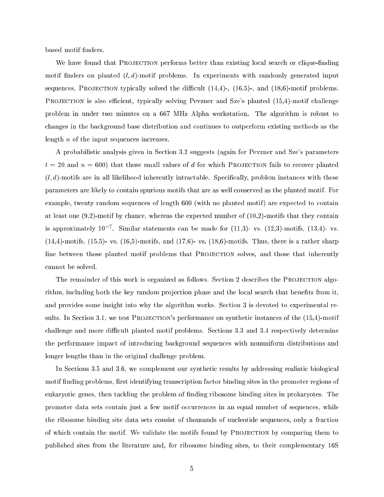based motif nders.

We have found that PROJECTION performs better than existing local search or clique-finding motif finders on planted  $(l,d)$ -motif problems. In experiments with randomly generated input sequences, PROJECTION typically solved the difficult  $(14,4)$ -,  $(16,5)$ -, and  $(18,6)$ -motif problems. PROJECTION is also efficient, typically solving Pevzner and Sze's planted (15,4)-motif challenge problem in under two minutes on a 667 MHz Alpha workstation. The algorithm is robust to hanges in the ba
kground base distribution and ontinues to outperform existing methods as the length  $n$  of the input sequences increases.

A probabilisti analysis given in Se
tion 3.2 suggests (again for Pevzner and Sze's parameters  $t = 20$  and  $n = 600$ ) that those small values of d for which PROJECTION fails to recover planted  $(l, d)$ -motifs are in all likelihood inherently intractable. Specifically, problem instances with these parameters are likely to ontain spurious motifs that are as well onserved as the planted motif. For example, twenty random sequences of length 600 (with no planted motif) are expected to contain at least one  $(9,2)$ -motif by chance, whereas the expected number of  $(10,2)$ -motifs that they contain is approximately 10  $\,$  . Similar statements can be made for (11,3)- vs. (12,3)-motifs, (13,4)- vs.  $(14,4)$ -motifs,  $(15,5)$ - vs.  $(16,5)$ -motifs, and  $(17,6)$ - vs.  $(18,6)$ -motifs. Thus, there is a rather sharp line between those planted motif problems that PROJECTION solves, and those that inherently annot be solved.

The remainder of this work is organized as follows. Section 2 describes the PROJECTION algorithm, including both the key random projection phase and the local search that benefits from it. and provides some insight into why the algorithm works. Section 3 is devoted to experimental results. In Section 3.1, we test PROJECTION's performance on synthetic instances of the  $(15,4)$ -motif challenge and more difficult planted motif problems. Sections 3.3 and 3.4 respectively determine the performan
e impa
t of introdu
ing ba
kground sequen
es with nonuniform distributions and longer lengths than in the original challenge problem.

In Sections 3.5 and 3.6, we complement our synthetic results by addressing realistic biological motif finding problems, first identifying transcription factor binding sites in the promoter regions of eukaryotic genes, then tackling the problem of finding ribosome binding sites in prokaryotes. The promoter data sets contain just a few motif occurrences in an equal number of sequences, while the ribosome binding site data sets consist of thousands of nucleotide sequences, only a fraction of which contain the motif. We validate the motifs found by PROJECTION by comparing them to published sites from the literature and, for ribosome binding sites, to their omplementary 16S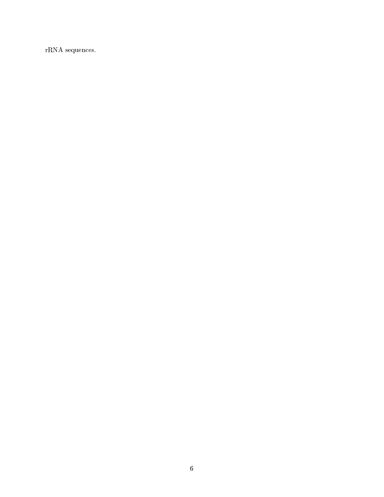$\operatorname{rRNA}$  sequences.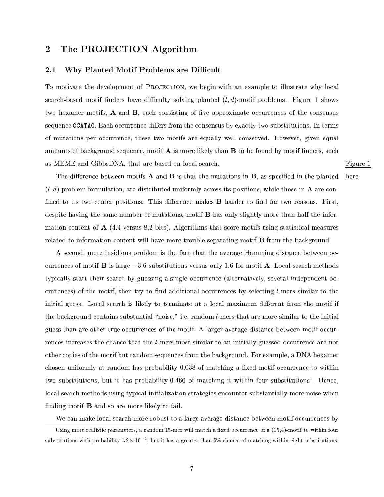## 2 The PROJECTION Algorithm

#### 2.1 Why Planted Motif Problems are Difficult

To motivate the development of PROJECTION, we begin with an example to illustrate why local search-based motif finders have difficulty solving planted  $(l, d)$ -motif problems. Figure 1 shows two hexamer motifs,  $\bf{A}$  and  $\bf{B}$ , each consisting of five approximate occurrences of the consensus sequence CCATAG. Each occurrence differs from the consensus by exactly two substitutions. In terms of mutations per occurrence, these two motifs are equally well conserved. However, given equal amounts of background sequence, motif  $\bf{A}$  is more likely than  $\bf{B}$  to be found by motif finders, such as MEME and GibbsDNA, that are based on local search. The search is the search of the search of the search of the search of the search of the search of the search of the search of the search of the search of the search of

The difference between motifs  $A$  and  $B$  is that the mutations in  $B$ , as specified in the planted here  $(l, d)$  problem formulation, are distributed uniformly across its positions, while those in **A** are confined to its two center positions. This difference makes **B** harder to find for two reasons. First, despite having the same number of mutations, motif B has only slightly more than half the information ontent of A (4.4 versus 8.2 bits). Algorithms that s
ore motifs using statisti
al measures related to information content will have more trouble separating motif **B** from the background.

A second, more insidious problem is the fact that the average Hamming distance between occurrences of motif **B** is large  $-3.6$  substitutions versus only 1.6 for motif **A**. Local search methods typically start their search by guessing a single occurrence (alternatively, several independent occurrences) of the motif, then try to find additional occurrences by selecting  $l$ -mers similar to the initial guess. Local search is likely to terminate at a local maximum different from the motif if the background contains substantial "noise," i.e. random *l*-mers that are more similar to the initial guess than are other true occurrences of the motif. A larger average distance between motif occurrences increases the chance that the *l*-mers most similar to an initially guessed occurrence are not other opies of the motif but random sequen
es from the ba
kground. For example, a DNA hexamer chosen uniformly at random has probability 0.038 of matching a fixed motif occurrence to within two substitutions, but it has probability 0.400 of matching it within four substitutions". Hence, local search methods using typical initialization strategies encounter substantially more noise when finding motif  $\bf{B}$  and so are more likely to fail.

We can make local search more robust to a large average distance between motif occurrences by

Using more realistic parameters, a random 15-mer will match a fixed occurrence of a (15,4)-motif to within four substitutions with probability 1.2 × 10 , but it has a greater than 5% chance of matching within eight substitutions.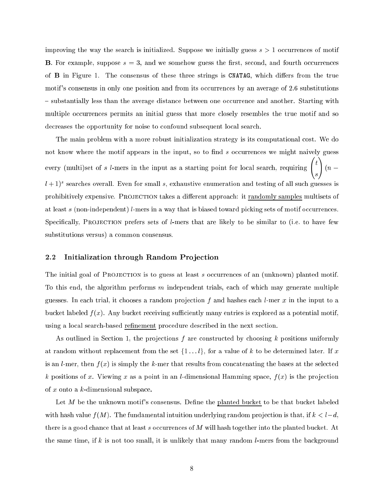improving the way the search is initialized. Suppose we initially guess  $s > 1$  occurrences of motif **B**. For example, suppose  $s = 3$ , and we somehow guess the first, second, and fourth occurrences of **B** in Figure 1. The consensus of these three strings is CNATAG, which differs from the true motif's consensus in only one position and from its occurrences by an average of 2.6 substitutions – substantially less than the average distance between one occurrence and another. Starting with multiple occurrences permits an initial guess that more closely resembles the true motif and so decreases the opportunity for noise to confound subsequent local search.

The main problem with a more robust initialization strategy is its computational cost. We do not know where the motif appears in the input, so to find s occurrences we might naively guess every (multi)set of *s l*-mers in the input as a starting point for local search, requiring  $\int_0^t$ <sup>0</sup> s  $11.11$  $\ln n (l+1)^s$  searches overall. Even for small s, exhaustive enumeration and testing of all such guesses is prohibitively expensive. PROJECTION takes a different approach: it randomly samples multisets of at least s (non-independent) l-mers in a way that is biased toward picking sets of motif occurrences. Specifically, PROJECTION prefers sets of *l*-mers that are likely to be similar to (i.e. to have few substitutions versus) a common consensus.

#### 2.2 Initialization through Random Projection

The initial goal of PROJECTION is to guess at least s occurrences of an (unknown) planted motif. To this end, the algorithm performs  $m$  independent trials, each of which may generate multiple guesses. In each trial, it chooses a random projection f and hashes each  $l$ -mer x in the input to a bucket labeled  $f(x)$ . Any bucket receiving sufficiently many entries is explored as a potential motif. using a local search-based refinement procedure described in the next section.

As outlined in Section 1, the projections  $f$  are constructed by choosing  $k$  positions uniformly at random without replacement from the set  $\{1 \dots l\}$ , for a value of k to be determined later. If x is an *l*-mer, then  $f(x)$  is simply the *k*-mer that results from concatenating the bases at the selected k positions of x. Viewing x as a point in an *l*-dimensional Hamming space,  $f(x)$  is the projection of <sup>x</sup> onto a k-dimensional subspa
e.

Let  $M$  be the unknown motif's consensus. Define the planted bucket to be that bucket labeled with hash value  $f(M)$ . The fundamental intuition underlying random projection is that, if  $k < l-d$ , there is a good chance that at least s occurrences of  $M$  will hash together into the planted bucket. At the same time, if k is not too small, it is unlikely that many random  $l$ -mers from the background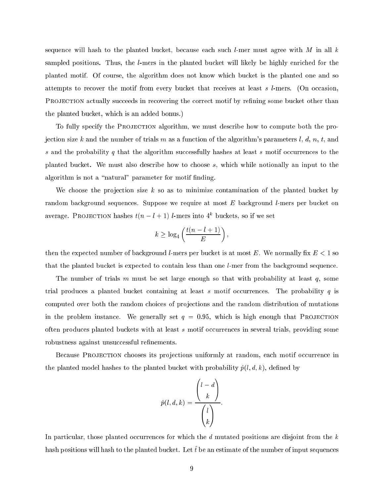sequence will hash to the planted bucket, because each such *l*-mer must agree with M in all k sampled positions. Thus, the *l*-mers in the planted bucket will likely be highly enriched for the planted motif. Of ourse, the algorithm does not know whi
h bu
ket is the planted one and so attempts to recover the motif from every bucket that receives at least s l-mers. (On occasion, PROJECTION actually succeeds in recovering the correct motif by refining some bucket other than the planted bu
ket, whi
h is an added bonus.)

To fully specify the PROJECTION algorithm, we must describe how to compute both the projection size k and the number of trials m as a function of the algorithm's parameters l, d, n, t, and s and the probability q that the algorithm successfully hashes at least s motif occurrences to the planted bucket. We must also describe how to choose s, which while notionally an input to the algorithm is not a "natural" parameter for motif finding.

We choose the projection size k so as to minimize contamination of the planted bucket by random background sequences. Suppose we require at most E background l-mers per bucket on average. PROJECTION hashes  $t(n-l+1)$  l-mers into  $4^k$  buckets, so if we set

$$
k \geq \log_4\left(\frac{t(n-l+1)}{E}\right)
$$

then the expected number of background *l*-mers per bucket is at most E. We normally fix  $E < 1$  so that the planted bucket is expected to contain less than one *l*-mer from the background sequence.

The number of trials m must be set large enough so that with probability at least q, some trial produces a planted bucket containing at least s motif occurrences. The probability q is computed over both the random choices of projections and the random distribution of mutations in the problem instance. We generally set  $q = 0.95$ , which is high enough that PROJECTION often produces planted buckets with at least s motif occurrences in several trials, providing some robustness against unsuccessful refinements.

Because PROJECTION chooses its projections uniformly at random, each motif occurrence in the planted model hashes to the planted bucket with probability  $\hat{p}(l, d, k)$ , defined by

$$
\hat{p}(l, d, k) = \frac{\binom{l - d}{k}}{\binom{l}{k}}.
$$

In particular, those planted occurrences for which the  $d$  mutated positions are disjoint from the  $k$ hash positions will hash to the planted bucket. Let  $\hat{t}$  be an estimate of the number of input sequences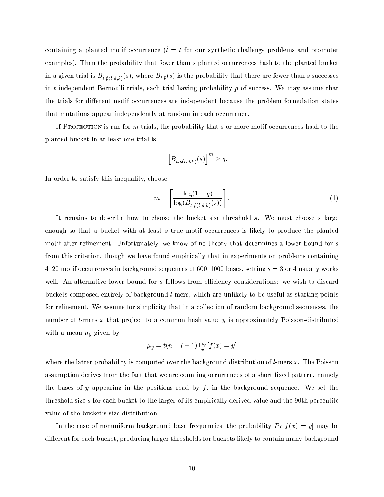containing a planted motif occurrence  $(\hat{t} = t$  for our synthetic challenge problems and promoter examples). Then the probability that fewer than s planted occurrences hash to the planted bucket in a given trial is  $B_{\hat{t},\hat{p}(l,d,k)}(s)$ , where  $B_{t,p}(s)$  is the probability that there are fewer than s successes in  $t$  independent Bernoulli trials, each trial having probability  $p$  of success. We may assume that the trials for different motif occurrences are independent because the problem formulation states that mutations appear independently at random in each occurrence.

If PROJECTION is run for m trials, the probability that s or more motif occurrences hash to the planted bu
ket in at least one trial is

$$
1 - \left[B_{\hat{t}, \hat{p}(l,d,k)}(s)\right]^m \ge q.
$$

In order to satisfy this inequality, choose

$$
m = \left\lceil \frac{\log(1 - q)}{\log(B_{\hat{t}, \hat{p}(l, d, k)}(s))} \right\rceil. \tag{1}
$$

It remains to describe how to choose the bucket size threshold s. We must choose s large enough so that a bucket with at least  $s$  true motif occurrences is likely to produce the planted motif after refinement. Unfortunately, we know of no theory that determines a lower bound for  $s$ from this criterion, though we have found empirically that in experiments on problems containing 4-20 motif occurrences in background sequences of 600-1000 bases, setting  $s = 3$  or 4 usually works well. An alternative lower bound for s follows from efficiency considerations: we wish to discard bu
kets omposed entirely of ba
kground l-mers, whi
h are unlikely to be useful as starting points for refinement. We assume for simplicity that in a collection of random background sequences, the number of *l*-mers x that project to a common hash value y is approximately Poisson-distributed with a mean  $\mu_y$  given by

$$
\mu_y = t(n - l + 1) \Pr_x[f(x) = y]
$$

where the latter probability is computed over the background distribution of  $l$ -mers x. The Poisson assumption derives from the fact that we are counting occurrences of a short fixed pattern, namely the bases of y appearing in the positions read by  $f$ , in the background sequence. We set the threshold size s for each bucket to the larger of its empirically derived value and the 90th percentile value of the bucket's size distribution.

In the case of nonuniform background base frequencies, the probability  $Pr[f(x) = y]$  may be different for each bucket, producing larger thresholds for buckets likely to contain many background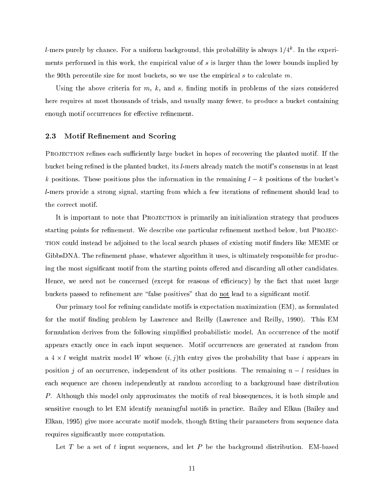l-mers purely by chance. For a uniform background, this probability is always  $1/4^k$ . In the experiments performed in this work, the empirical value of s is larger than the lower bounds implied by the 90th percentile size for most buckets, so we use the empirical s to calculate m.

Using the above criteria for  $m, k$ , and  $s$ , finding motifs in problems of the sizes considered here requires at most thousands of trials, and usually many fewer, to produce a bucket containing enough motif occurrences for effective refinement.

#### 2.3 Motif Refinement and Scoring

PROJECTION refines each sufficiently large bucket in hopes of recovering the planted motif. If the bucket being refined is the planted bucket, its *l*-mers already match the motif's consensus in at least k positions. These positions plus the information in the remaining  $l - k$  positions of the bucket's l-mers provide a strong signal, starting from which a few iterations of refinement should lead to the correct motif.

It is important to note that PROJECTION is primarily an initialization strategy that produces starting points for refinement. We describe one particular refinement method below, but PROJECtion ould instead be adjoined to the lo
al sear
h phases of existing motif nders like MEME or GibbsDNA. The refinement phase, whatever algorithm it uses, is ultimately responsible for producing the most significant motif from the starting points offered and discarding all other candidates. Hence, we need not be concerned (except for reasons of efficiency) by the fact that most large buckets passed to refinement are "false positives" that do not lead to a significant motif.

Our primary tool for refining candidate motifs is expectation maximization (EM), as formulated for the motif finding problem by Lawrence and Reilly (Lawrence and Reilly, 1990). This EM formulation derives from the following simplified probabilistic model. An occurrence of the motif appears exactly once in each input sequence. Motif occurrences are generated at random from a  $4 \times l$  weight matrix model W whose  $(i, j)$ th entry gives the probability that base i appears in position j of an occurrence, independent of its other positions. The remaining  $n-l$  residues in each sequence are chosen independently at random according to a background base distribution P. Although this model only approximates the motifs of real biosequences, it is both simple and sensitive enough to let EM identify meaningful motifs in practice. Bailey and Elkan (Bailey and Elkan, 1995) give more accurate motif models, though fitting their parameters from sequence data requires significantly more computation.

Let T be a set of t input sequences, and let P be the background distribution. EM-based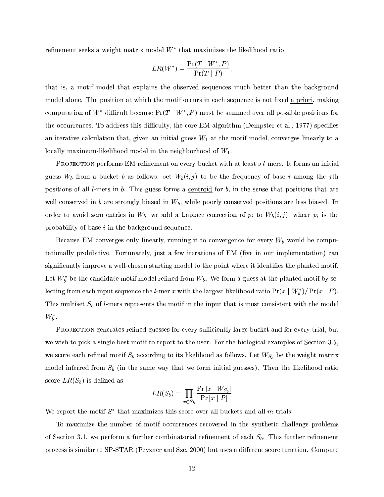refinement seeks a weight matrix model  $W^*$  that maximizes the likelihood ratio

$$
LR(W^*) = \frac{\Pr(T \mid W^*, P)}{\Pr(T \mid P)},
$$

that is, a motif model that explains the observed sequences much better than the background model alone. The position at which the motif occurs in each sequence is not fixed a priori, making computation of  $W^*$  difficult because  $Pr(T \mid W^*, P)$  must be summed over all possible positions for the occurrences. To address this difficulty, the core EM algorithm (Dempster et al., 1977) specifies an iterative calculation that, given an initial guess  $W_1$  at the motif model, converges linearly to a locally maximum-likelihood model in the neighborhood of  $W_1$ .

PROJECTION performs EM refinement on every bucket with at least s l-mers. It forms an initial guess  $W_b$  from a bucket b as follows: set  $W_b(i, j)$  to be the frequency of base i among the jth positions of all *l*-mers in *b*. This guess forms a centroid for *b*, in the sense that positions that are well conserved in b are strongly biased in  $W_b$ , while poorly conserved positions are less biased. In order to avoid zero entries in  $W_b$ , we add a Laplace correction of  $p_i$  to  $W_b(i,j)$ , where  $p_i$  is the probability of base *i* in the background sequence.

Because EM converges only linearly, running it to convergence for every  $W_b$  would be computationally prohibitive. Fortunately, just a few iterations of EM (five in our implementation) can significantly improve a well-chosen starting model to the point where it identifies the planted motif. Let  $W_b^\ast$  be the candidate motif model refined from  $W_b.$  We form a guess at the planted motif by selecting from each input sequence the  $l$ -mer  $x$  with the largest likelihood ratio  $\Pr(x\mid W_b^*)/\Pr(x\mid P).$ This multiset  $S_b$  of *l*-mers represents the motif in the input that is most consistent with the model  $W_b^*.$ 

PROJECTION generates refined guesses for every sufficiently large bucket and for every trial, but we wish to pick a single best motif to report to the user. For the biological examples of Section 3.5. we score each refined motif  $S_b$  according to its likelihood as follows. Let  $W_{S_b}$  be the weight matrix model inferred from  $S_b$  (in the same way that we form initial guesses). Then the likelihood ratio score  $LR(S_b)$  is defined as

$$
LR(S_b) = \prod_{x \in S_b} \frac{\Pr[x \mid W_{S_b}]}{\Pr[x \mid P]}
$$

We report the motif  $S^*$  that maximizes this score over all buckets and all m trials.

To maximize the number of motif occurrences recovered in the synthetic challenge problems of Section 3.1, we perform a further combinatorial refinement of each  $S_b$ . This further refinement process is similar to SP-STAR (Pevzner and Sze, 2000) but uses a different score function. Compute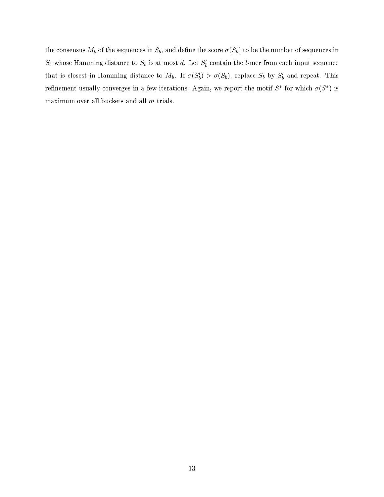the consensus  $M_b$  of the sequences in  $S_b$ , and define the score  $\sigma(S_b)$  to be the number of sequences in  $S_b$  whose Hamming distance to  $S_b$  is at most d. Let  $S_b'$  contain the l-mer from each input sequence that is closest in Hamming distance to  $M_b$ . If  $\sigma(S'_b) > \sigma(S_b)$ , replace  $S_b$  by  $S'_b$  and repeat. This refinement usually converges in a few iterations. Again, we report the motif  $S^*$  for which  $\sigma(S^*)$  is maximum over all buckets and all m trials.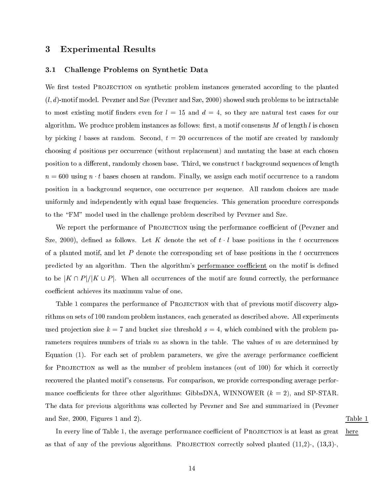### 3 Experimental Results

#### 3.1 Challenge Problems on Syntheti Data

We first tested PROJECTION on synthetic problem instances generated according to the planted  $(l, d)$ -motif model. Pevzner and Sze (Pevzner and Sze, 2000) showed such problems to be intractable to most existing motif finders even for  $l = 15$  and  $d = 4$ , so they are natural test cases for our algorithm. We produce problem instances as follows: first, a motif consensus  $M$  of length l is chosen by picking l bases at random. Second,  $t = 20$  occurrences of the motif are created by randomly choosing  $d$  positions per occurrence (without replacement) and mutating the base at each chosen position to a different, randomly chosen base. Third, we construct t background sequences of length  $n = 600$  using  $n \cdot t$  bases chosen at random. Finally, we assign each motif occurrence to a random position in a ba
kground sequen
e, one o

urren
e per sequen
e. All random hoi
es are made uniformly and independently with equal base frequencies. This generation procedure corresponds to the "FM" model used in the challenge problem described by Pevzner and Sze.

We report the performance of PROJECTION using the performance coefficient of (Pevzner and Sze, 2000), defined as follows. Let K denote the set of  $t \cdot l$  base positions in the t occurrences of a planted motif, and let  $P$  denote the corresponding set of base positions in the  $t$  occurrences predicted by an algorithm. Then the algorithm's performance coefficient on the motif is defined to be  $|K \cap P|/|K \cup P|$ . When all occurrences of the motif are found correctly, the performance coefficient achieves its maximum value of one.

Table 1 compares the performance of PROJECTION with that of previous motif discovery algorithms on sets of 100 random problem instan
es, ea
h generated as des
ribed above. All experiments used projection size  $k = 7$  and bucket size threshold  $s = 4$ , which combined with the problem parameters requires numbers of trials  $m$  as shown in the table. The values of  $m$  are determined by Equation (1). For each set of problem parameters, we give the average performance coefficient for PROJECTION as well as the number of problem instances (out of 100) for which it correctly recovered the planted motif's consensus. For comparison, we provide corresponding average performance coefficients for three other algorithms: GibbsDNA, WINNOWER  $(k = 2)$ , and SP-STAR. The data for previous algorithms was olle
ted by Pevzner and Sze and summarized in (Pevzner and Sze, 2000, Figures 1 and 2). Table <sup>1</sup>

In every line of Table 1, the average performance coefficient of PROJECTION is at least as great here as that of any of the previous algorithms. PROJECTION correctly solved planted  $(11,2)$ -,  $(13,3)$ -,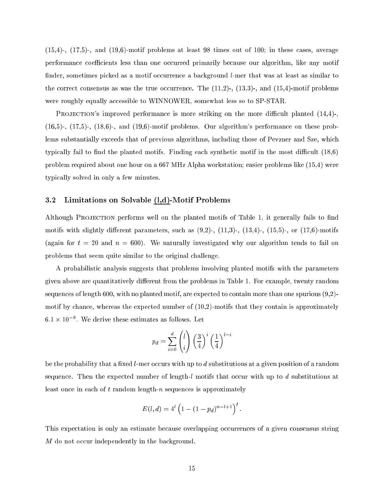$(15,4)$ -,  $(17,5)$ -, and  $(19,6)$ -motif problems at least 98 times out of 100; in these cases, average performance coefficients less than one occurred primarily because our algorithm, like any motif finder, sometimes picked as a motif occurrence a background *l*-mer that was at least as similar to the correct consensus as was the true occurrence. The  $(11,2)$ -,  $(13,3)$ -, and  $(15,4)$ -motif problems were roughly equally accessible to WINNOWER, somewhat less so to SP-STAR.

PROJECTION's improved performance is more striking on the more difficult planted  $(14,4)$ -,  $(16,5)$ -,  $(17,5)$ -,  $(18,6)$ -, and  $(19,6)$ -motif problems. Our algorithm's performance on these problems substantially exceeds that of previous algorithms, including those of Pevzner and Sze, which typically fail to find the planted motifs. Finding each synthetic motif in the most difficult (18,6) problem required about one hour on a 667 MHz Alpha workstation; easier problems like (15,4) were typi
ally solved in only a few minutes.

#### 3.2 Limitations on Solvable (l,d)-Motif Problems

Although PROJECTION performs well on the planted motifs of Table 1, it generally fails to find motifs with slightly different parameters, such as  $(9,2)$ -,  $(11,3)$ -,  $(13,4)$ -,  $(15,5)$ -, or  $(17,6)$ -motifs (again for  $t = 20$  and  $n = 600$ ). We naturally investigated why our algorithm tends to fail on problems that seem quite similar to the original hallenge.

A probabilisti analysis suggests that problems involving planted motifs with the parameters given above are quantitatively different from the problems in Table 1. For example, twenty random sequences of length 600, with no planted motif, are expected to contain more than one spurious (9,2)motif by chance, whereas the expected number of  $(10,2)$ -motifs that they contain is approximately  $0.1 \times 10^{-5}$ . We derive these estimates as follows. Let

$$
p_d = \sum_{i=0}^d \binom{l}{i} \left(\frac{3}{4}\right)^i \left(\frac{1}{4}\right)^{l-i}
$$

be the probability that a fixed  $l$ -mer occurs with up to  $d$  substitutions at a given position of a random sequence. Then the expected number of length-l motifs that occur with up to d substitutions at least once in each of t random length-n sequences is approximately

$$
E(l, d) = 4^l \left( 1 - (1 - p_d)^{n-l+1} \right)^t
$$

:

This expectation is only an estimate because overlapping occurrences of a given consensus string M do not occur independently in the background.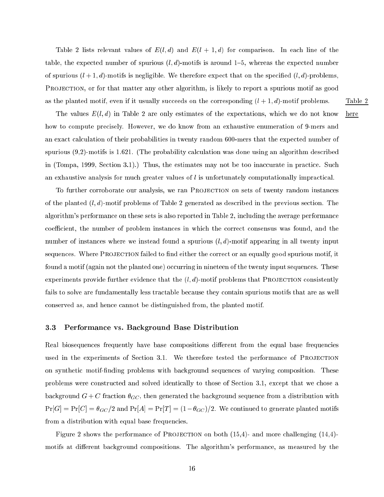Table 2 lists relevant values of  $E(l, d)$  and  $E(l + 1, d)$  for comparison. In each line of the table, the expected number of spurious  $(l, d)$ -motifs is around 1-5, whereas the expected number of spurious  $(l + 1, d)$ -motifs is negligible. We therefore expect that on the specified  $(l, d)$ -problems. PROJECTION, or for that matter any other algorithm, is likely to report a spurious motif as good as the planted motif, even if it usually succeeds on the corresponding  $(l+1, d)$ -motif problems. Table 2

The values  $E(l, d)$  in Table 2 are only estimates of the expectations, which we do not know here how to compute precisely. However, we do know from an exhaustive enumeration of 9-mers and an exact calculation of their probabilities in twenty random 600-mers that the expected number of spurious  $(9,2)$ -motifs is 1.621. (The probability calculation was done using an algorithm described in (Tompa, 1999, Section 3.1).) Thus, the estimates may not be too inaccurate in practice. Such an exhaustive analysis for much greater values of  $l$  is unfortunately computationally impractical.

To further corroborate our analysis, we ran PROJECTION on sets of twenty random instances of the planted  $(l, d)$ -motif problems of Table 2 generated as described in the previous section. The algorithm's performan
e on these sets is also reported in Table 2, in
luding the average performan
e coefficient, the number of problem instances in which the correct consensus was found, and the number of instances where we instead found a spurious  $(l, d)$ -motif appearing in all twenty input sequences. Where PROJECTION failed to find either the correct or an equally good spurious motif, it found a motif (again not the planted one) occurring in nineteen of the twenty input sequences. These experiments provide further evidence that the  $(l, d)$ -motif problems that PROJECTION consistently fails to solve are fundamentally less tractable because they contain spurious motifs that are as well onserved as, and hen
e annot be distinguished from, the planted motif.

#### 3.3 Performan
e vs. Ba
kground Base Distribution

Real biosequences frequently have base compositions different from the equal base frequencies used in the experiments of Section 3.1. We therefore tested the performance of PROJECTION on synthetic motif-finding problems with background sequences of varying composition. These problems were constructed and solved identically to those of Section 3.1, except that we chose a background  $G + C$  fraction  $\theta_{GC}$ , then generated the background sequence from a distribution with  $Pr[G] = Pr[C] = \theta_{GC}/2$  and  $Pr[A] = Pr[T] = (1 - \theta_{GC})/2$ . We continued to generate planted motifs from a distribution with equal base frequencies.

Figure 2 shows the performance of PROJECTION on both  $(15,4)$ - and more challenging  $(14,4)$ motifs at different background compositions. The algorithm's performance, as measured by the

16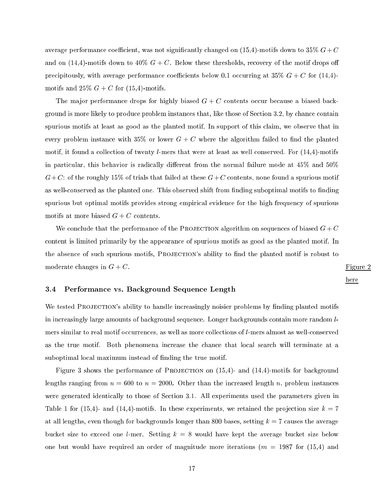average performance coefficient, was not significantly changed on  $(15,4)$ -motifs down to  $35\%$   $G+C$ and on (14,4)-motifs down to  $40\%$   $G + C$ . Below these thresholds, recovery of the motif drops off precipitously, with average performance coefficients below 0.1 occurring at 35%  $G + C$  for (14,4)motifs and 25%  $G + C$  for (15,4)-motifs.

The major performance drops for highly biased  $G + C$  contents occur because a biased background is more likely to produce problem instances that, like those of Section 3.2, by chance contain spurious motifs at least as good as the planted motif. In support of this claim, we observe that in every problem instance with 35% or lower  $G + C$  where the algorithm failed to find the planted motif, it found a collection of twenty  $l$ -mers that were at least as well conserved. For  $(14,4)$ -motifs in particular, this behavior is radically different from the normal failure mode at  $45\%$  and  $50\%$  $G+C$ : of the roughly 15% of trials that failed at these  $G+C$  contents, none found a spurious motif as well-conserved as the planted one. This observed shift from finding suboptimal motifs to finding spurious but optimal motifs provides strong empirical evidence for the high frequency of spurious motifs at more biased  $G + \mathbb{C}$  contents.

We conclude that the performance of the PROJECTION algorithm on sequences of biased  $G + C$ ontent is limited primarily by the appearan
e of spurious motifs as good as the planted motif. In the absence of such spurious motifs, PROJECTION's ability to find the planted motif is robust to moderate changes in  $G + C$ . Figure 2

here

#### 3.4 Performan
e vs. Ba
kground Sequen
e Length

We tested PROJECTION's ability to handle increasingly noisier problems by finding planted motifs in increasingly large amounts of background sequence. Longer backgrounds contain more random lmers similar to real motif occurrences, as well as more collections of *l*-mers almost as well-conserved as the true motif. Both phenomena increase the chance that local search will terminate at a suboptimal local maximum instead of finding the true motif.

Figure 3 shows the performance of PROJECTION on  $(15,4)$ - and  $(14,4)$ -motifs for background lengths ranging from  $n = 600$  to  $n = 2000$ . Other than the increased length n, problem instances were generated identically to those of Section 3.1. All experiments used the parameters given in Table 1 for (15,4)- and (14,4)-motifs. In these experiments, we retained the projection size  $k = 7$ at all lengths, even though for backgrounds longer than 800 bases, setting  $k = 7$  causes the average bucket size to exceed one *l*-mer. Setting  $k = 8$  would have kept the average bucket size below one but would have required an order of magnitude more iterations  $(m = 1987$  for  $(15.4)$  and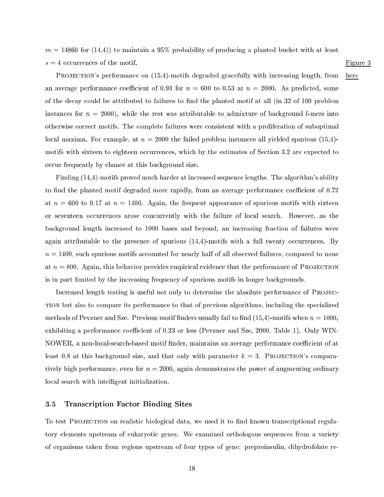$m = 14860$  for  $(14.4)$  to maintain a 95% probability of producing a planted bucket with at least  $s = 4$  occurrences of the motif. Figure 3

PROJECTION's performance on (15,4)-motifs degraded gracefully with increasing length, from here an average performance coefficient of 0.93 for  $n = 600$  to 0.53 at  $n = 2000$ . As predicted, some of the decay could be attributed to failures to find the planted motif at all (in 32 of 100 problem instances for  $n = 2000$ , while the rest was attributable to admixture of background *l*-mers into otherwise orre
t motifs. The omplete failures were onsistent with a proliferation of suboptimal local maxima. For example, at  $n = 2000$  the failed problem instances all vielded spurious (15.4)motifs with sixteen to eighteen occurrences, which by the estimates of Section 3.2 are expected to occur frequently by chance at this background size.

Finding (14,4)-motifs proved much harder at increased sequence lengths. The algorithm's ability to find the planted motif degraded more rapidly, from an average performance coefficient of 0.72 at  $n = 600$  to 0.17 at  $n = 1400$ . Again, the frequent appearance of spurious motifs with sixteen or seventeen occurrences arose concurrently with the failure of local search. However, as the ba
kground length in
reased to 1000 bases and beyond, an in
reasing fra
tion of failures were again attributable to the presence of spurious  $(14,4)$ -motifs with a full twenty occurrences. By  $n = 1400$ , such spurious motifs accounted for nearly half of all observed failures, compared to none at  $n = 800$ . Again, this behavior provides empirical evidence that the performance of PROJECTION is in part limited by the in
reasing frequen
y of spurious motifs in longer ba
kgrounds.

Increased length testing is useful not only to determine the absolute performance of PROJECtion but also to ompare its performan
e to that of previous algorithms, in
luding the spe
ialized methods of Pevzner and Sze. Previous motif finders usually fail to find  $(15,4)$ -motifs when  $n=1000$ , exhibiting a performance coefficient of 0.23 or less (Pevzner and Sze, 2000, Table 1). Only WIN-NOWER, a non-local-search-based motif finder, maintains an average performance coefficient of at least 0.8 at this background size, and that only with parameter  $k = 3$ . PROJECTION's comparatively high performance, even for  $n = 2000$ , again demonstrates the power of augmenting ordinary lo
al sear
h with intelligent initialization.

#### 3.5 Transcription Factor Binding Sites

To test PROJECTION on realistic biological data, we used it to find known transcriptional regulatory elements upstream of eukaryotic genes. We examined orthologous sequences from a variety of organisms taken from regions upstream of four types of gene: preproinsulin, dihydrofolate re-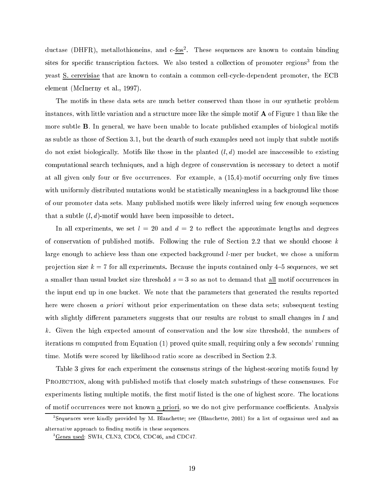ductase (DHFR), metallothioneins, and c-fos<sup>2</sup>. These sequences are known to contain binding sites for specific transcription factors. We also tested a collection of promoter regions<sup>3</sup> from the yeast S. cerevisiae that are known to contain a common cell-cycle-dependent promoter, the ECB element (McInerny et al., 1997).

The motifs in these data sets are much better conserved than those in our synthetic problem instances, with little variation and a structure more like the simple motif A of Figure 1 than like the more subtle **B**. In general, we have been unable to locate published examples of biological motifs as subtle as those of Section 3.1, but the dearth of such examples need not imply that subtle motifs do not exist biologically. Motifs like those in the planted  $(l, d)$  model are inaccessible to existing computational search techniques, and a high degree of conservation is necessary to detect a motif at all given only four or five occurrences. For example, a  $(15,4)$ -motif occurring only five times with uniformly distributed mutations would be statistically meaningless in a background like those of our promoter data sets. Many published motifs were likely inferred using few enough sequences that a subtle  $(l, d)$ -motif would have been impossible to detect.

In all experiments, we set  $l = 20$  and  $d = 2$  to reflect the approximate lengths and degrees of conservation of published motifs. Following the rule of Section 2.2 that we should choose  $k$ large enough to achieve less than one expected background  $l$ -mer per bucket, we chose a uniform projection size  $k = 7$  for all experiments. Because the inputs contained only 4-5 sequences, we set a smaller than usual bucket size threshold  $s = 3$  so as not to demand that all motif occurrences in the input end up in one bucket. We note that the parameters that generated the results reported here were chosen a priori without prior experimentation on these data sets; subsequent testing with slightly different parameters suggests that our results are robust to small changes in l and k. Given the high expected amount of conservation and the low size threshold, the numbers of iterations m computed from Equation  $(1)$  proved quite small, requiring only a few seconds' running time. Motifs were scored by likelihood ratio score as described in Section 2.3.

Table 3 gives for each experiment the consensus strings of the highest-scoring motifs found by PROJECTION, along with published motifs that closely match substrings of these consensuses. For experiments listing multiple motifs, the first motif listed is the one of highest score. The locations of motif occurrences were not known a priori, so we do not give performance coefficients. Analysis

<sup>&</sup>lt;sup>2</sup>Sequences were kindly provided by M. Blanchette; see (Blanchette, 2001) for a list of organisms used and an alternative approach to finding motifs in these sequences.

<sup>&</sup>lt;sup>3</sup>Genes used: SWI4, CLN3, CDC6, CDC46, and CDC47.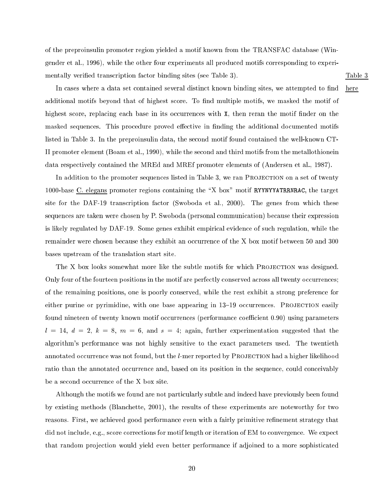of the preproinsulin promoter region yielded a motif known from the TRANSFAC database (Wingender et al., 1996), while the other four experiments all produ
ed motifs orresponding to experimentally verified transcription factor binding sites (see Table 3). Table 3

In cases where a data set contained several distinct known binding sites, we attempted to find here additional motifs beyond that of highest score. To find multiple motifs, we masked the motif of highest score, replacing each base in its occurrences with X, then reran the motif finder on the masked sequences. This procedure proved effective in finding the additional documented motifs listed in Table 3. In the preproinsulin data, the second motif found contained the well-known CT-II promoter element (Boam et al., 1990), while the se
ond and third motifs from the metallothionein data respectively contained the MREd and MREf promoter elements of (Andersen et al., 1987).

In addition to the promoter sequences listed in Table 3, we ran PROJECTION on a set of twenty 1000-base C. elegans promoter regions containing the "X box" motif RYYNYYATRRNRAC, the target site for the DAF-19 transcription factor (Swoboda et al., 2000). The genes from which these sequences are taken were chosen by P. Swoboda (personal communication) because their expression is likely regulated by DAF-19. Some genes exhibit empiri
al eviden
e of su
h regulation, while the remainder were chosen because they exhibit an occurrence of the X box motif between 50 and 300 bases upstream of the translation start site.

The X box looks somewhat more like the subtle motifs for which PROJECTION was designed. Only four of the fourteen positions in the motif are perfectly conserved across all twenty occurrences; of the remaining positions, one is poorly onserved, while the rest exhibit a strong preferen
e for either purine or pyrimidine, with one base appearing in  $13-19$  occurrences. PROJECTION easily found nineteen of twenty known motif occurrences (performance coefficient 0.90) using parameters  $l = 14, d = 2, k = 8, m = 6, \text{ and } s = 4$ ; again, further experimentation suggested that the algorithm's performan
e was not highly sensitive to the exa
t parameters used. The twentieth annotated occurrence was not found, but the *l*-mer reported by PROJECTION had a higher likelihood ratio than the annotated occurrence and, based on its position in the sequence, could conceivably be a second occurrence of the X box site.

Although the motifs we found are not particularly subtle and indeed have previously been found by existing methods (Blan
hette, 2001), the results of these experiments are noteworthy for two reasons. First, we achieved good performance even with a fairly primitive refinement strategy that did not include, e.g., score corrections for motif length or iteration of EM to convergence. We expect that random projection would yield even better performance if adjoined to a more sophisticated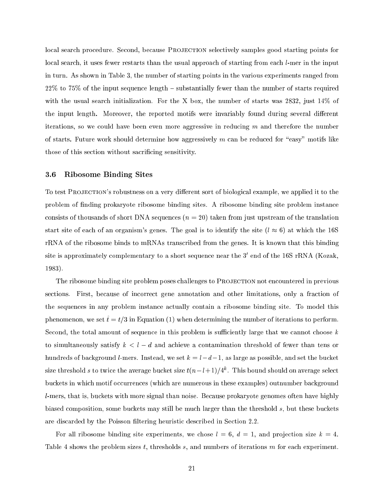local search procedure. Second, because PROJECTION selectively samples good starting points for local search, it uses fewer restarts than the usual approach of starting from each *l*-mer in the input in turn. As shown in Table 3, the number of starting points in the various experiments ranged from  $22\%$  to  $75\%$  of the input sequence length  $-$  substantially fewer than the number of starts required with the usual search initialization. For the X box, the number of starts was 2832, just 14% of the input length. Moreover, the reported motifs were invariably found during several different iterations, so we could have been even more aggressive in reducing  $m$  and therefore the number of starts. Future work should determine how aggressively m can be reduced for "easy" motifs like those of this section without sacrificing sensitivity.

#### 3.6 Ribosome Binding Sites

To test PROJECTION's robustness on a very different sort of biological example, we applied it to the problem of finding prokaryote ribosome binding sites. A ribosome binding site problem instance consists of thousands of short DNA sequences  $(n = 20)$  taken from just upstream of the translation start site of each of an organism's genes. The goal is to identify the site  $(l \approx 6)$  at which the 16S rRNA of the ribosome binds to mRNAs trans
ribed from the genes. It is known that this binding site is approximately complementary to a short sequence near the 3-end of the 16S rRNA (Kozak, 1983).

The ribosome binding site problem poses challenges to PROJECTION not encountered in previous sections. First, because of incorrect gene annotation and other limitations, only a fraction of the sequen
es in any problem instan
e a
tually ontain a ribosome binding site. To model this phenomenon, we set  $\hat{t} = t/3$  in Equation (1) when determining the number of iterations to perform. Second, the total amount of sequence in this problem is sufficiently large that we cannot choose  $k$ to simultaneously satisfy  $k < l - d$  and achieve a contamination threshold of fewer than tens or hundreds of background *l*-mers. Instead, we set  $k = l - d - 1$ , as large as possible, and set the bucket size threshold  $s$  to twice the average bucket size  $t(n-l+1)/4^k$ . This bound should on average select buckets in which motif occurrences (which are numerous in these examples) outnumber background l-mers, that is, buckets with more signal than noise. Because prokaryote genomes often have highly biased composition, some buckets may still be much larger than the threshold s, but these buckets are discarded by the Poisson filtering heuristic described in Section 2.2.

For all ribosome binding site experiments, we chose  $l = 6, d = 1$ , and projection size  $k = 4$ . Table 4 shows the problem sizes t, thresholds s, and numbers of iterations m for each experiment.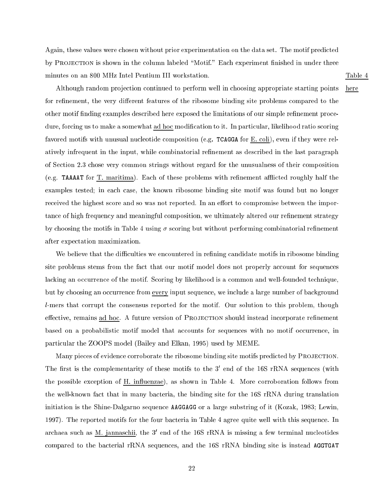Again, these values were chosen without prior experimentation on the data set. The motif predicted by PROJECTION is shown in the column labeled "Motif." Each experiment finished in under three minutes on an 800 MHz Intel Pentium III workstation. Table <sup>4</sup>

Although random projection continued to perform well in choosing appropriate starting points here for refinement, the very different features of the ribosome binding site problems compared to the other motif finding examples described here exposed the limitations of our simple refinement procedure, forcing us to make a somewhat ad hoc modification to it. In particular, likelihood ratio scoring favored motifs with unusual nucleotide composition (e.g. TCAGGA for E. coli), even if they were relatively infrequent in the input, while combinatorial refinement as described in the last paragraph of Se
tion 2.3 hose very ommon strings without regard for the unusualness of their omposition  $(e.g.$  TAAAAT for T. maritima). Each of these problems with refinement afflicted roughly half the examples tested; in each case, the known ribosome binding site motif was found but no longer received the highest score and so was not reported. In an effort to compromise between the importance of high frequency and meaningful composition, we ultimately altered our refinement strategy by choosing the motifs in Table 4 using  $\sigma$  scoring but without performing combinatorial refinement after expe
tation maximization.

We believe that the difficulties we encountered in refining candidate motifs in ribosome binding site problems stems from the fact that our motif model does not properly account for sequences lacking an occurrence of the motif. Scoring by likelihood is a common and well-founded technique, but by choosing an occurrence from every input sequence, we include a large number of background l-mers that orrupt the onsensus reported for the motif. Our solution to this problem, though effective, remains ad hoc. A future version of PROJECTION should instead incorporate refinement based on a probabilistic motif model that accounts for sequences with no motif occurrence, in parti
ular the ZOOPS model (Bailey and Elkan, 1995) used by MEME.

Many pieces of evidence corroborate the ribosome binding site motifs predicted by PROJECTION. The first is the complementarity of these moths to the 30 end of the 16S rRNA sequences (with the possible exception of H. influenzae), as shown in Table 4. More corroboration follows from the well-known fa
t that in many ba
teria, the binding site for the 16S rRNA during translation initiation is the Shine-Dalgarno sequence **AAGGAGG** or a large substring of it (Kozak, 1983; Lewin, 1997). The reported motifs for the four bacteria in Table 4 agree quite well with this sequence. In archaea such as M. Jannaschii, the 30 end of the 16S rKIVA is missing a few terminal nucleotides compared to the bacterial rRNA sequences, and the 16S rRNA binding site is instead AGGTGAT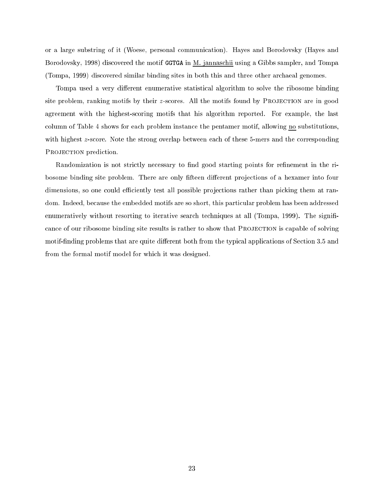or a large substring of it (Woese, personal ommuni
ation). Hayes and Borodovsky (Hayes and Borodovsky, 1998) dis
overed the motif GGTGA in M. jannas
hii using a Gibbs sampler, and Tompa (Tompa, 1999) dis
overed similar binding sites in both this and three other ar
haeal genomes.

Tompa used a very different enumerative statistical algorithm to solve the ribosome binding site problem, ranking motifs by their *z*-scores. All the motifs found by PROJECTION are in good agreement with the highest-s
oring motifs that his algorithm reported. For example, the last olumn of Table 4 shows for ea
h problem instan
e the pentamer motif, allowing no substitutions, with highest z-score. Note the strong overlap between each of these 5-mers and the corresponding PROJECTION prediction.

Randomization is not strictly necessary to find good starting points for refinement in the ribosome binding site problem. There are only fifteen different projections of a hexamer into four dimensions, so one could efficiently test all possible projections rather than picking them at random. Indeed, because the embedded motifs are so short, this particular problem has been addressed enumeratively without resorting to iterative search techniques at all (Tompa, 1999). The significance of our ribosome binding site results is rather to show that PROJECTION is capable of solving motif-finding problems that are quite different both from the typical applications of Section 3.5 and from the formal motif model for whi
h it was designed.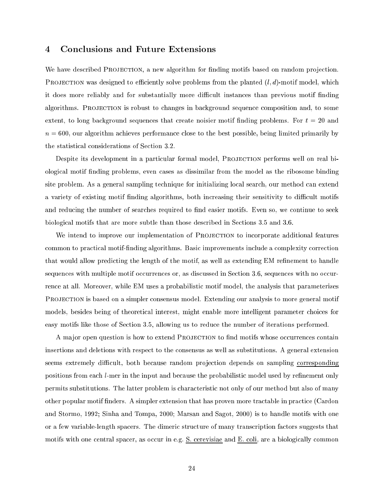#### Conclusions and Future Extensions  $\overline{4}$

We have described PROJECTION, a new algorithm for finding motifs based on random projection. PROJECTION was designed to efficiently solve problems from the planted  $(l, d)$ -motif model, which it does more reliably and for substantially more difficult instances than previous motif finding algorithms. PROJECTION is robust to changes in background sequence composition and, to some extent, to long background sequences that create noisier motif finding problems. For  $t = 20$  and  $n = 600$ , our algorithm achieves performance close to the best possible, being limited primarily by the statisti
al onsiderations of Se
tion 3.2.

Despite its development in a particular formal model, PROJECTION performs well on real biologi
al motif nding problems, even ases as dissimilar from the model as the ribosome binding site problem. As a general sampling technique for initializing local search, our method can extend a variety of existing motif finding algorithms, both increasing their sensitivity to difficult motifs and reducing the number of searches required to find easier motifs. Even so, we continue to seek biological motifs that are more subtle than those described in Sections 3.5 and 3.6.

We intend to improve our implementation of PROJECTION to incorporate additional features common to practical motif-finding algorithms. Basic improvements include a complexity correction that would allow predicting the length of the motif, as well as extending EM refinement to handle sequences with multiple motif occurrences or, as discussed in Section 3.6, sequences with no occurren
e at all. Moreover, while EM uses a probabilisti motif model, the analysis that parameterizes PROJECTION is based on a simpler consensus model. Extending our analysis to more general motif models, besides being of theoretical interest, might enable more intelligent parameter choices for easy motifs like those of Section 3.5, allowing us to reduce the number of iterations performed.

A major open question is how to extend PROJECTION to find motifs whose occurrences contain insertions and deletions with respe
t to the onsensus as well as substitutions. A general extension seems extremely difficult, both because random projection depends on sampling corresponding positions from each *l*-mer in the input and because the probabilistic model used by refinement only permits substitutions. The latter problem is hara
teristi not only of our method but also of many other popular motif finders. A simpler extension that has proven more tractable in practice (Cardon and Stormo, 1992; Sinha and Tompa, 2000; Marsan and Sagot, 2000) is to handle motifs with one or a few variable-length spacers. The dimeric structure of many transcription factors suggests that motifs with one central spacer, as occur in e.g. S. cerevisiae and E. coli, are a biologically common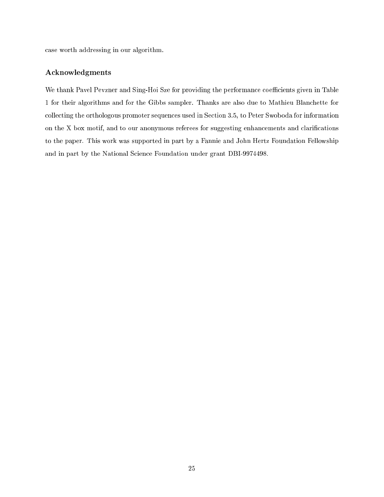ase worth addressing in our algorithm.

### **Acknowledgments**

We thank Pavel Pevzner and Sing-Hoi Sze for providing the performance coefficients given in Table 1 for their algorithms and for the Gibbs sampler. Thanks are also due to Mathieu Blan
hette for collecting the orthologous promoter sequences used in Section 3.5, to Peter Swoboda for information on the X box motif, and to our anonymous referees for suggesting enhancements and clarifications to the paper. This work was supported in part by a Fannie and John Hertz Foundation Fellowship and in part by the National S
ien
e Foundation under grant DBI-9974498.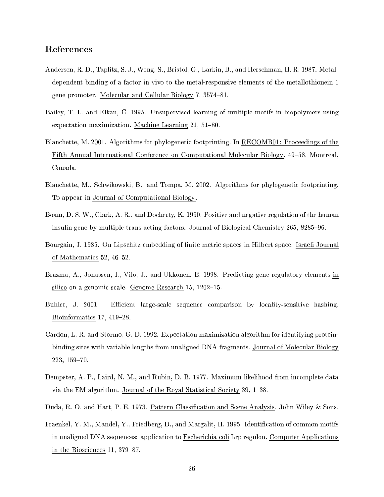## References

- Andersen, R. D., Taplitz, S. J., Wong, S., Bristol, G., Larkin, B., and Herschman, H. R. 1987. Metaldependent binding of a factor in vivo to the metal-responsive elements of the metallothionein 1 gene promoter. Molecular and Cellular Biology 7, 3574–81.
- Bailey, T. L. and Elkan, C. 1995. Unsupervised learning of multiple motifs in biopolymers using expectation maximization. Machine Learning 21, 51-80.
- Blanchette, M. 2001. Algorithms for phylogenetic footprinting. In RECOMB01: Proceedings of the Fifth Annual International Conference on Computational Molecular Biology, 49–58. Montreal. Canada.
- Blanchette, M., Schwikowski, B., and Tompa, M. 2002. Algorithms for phylogenetic footprinting. To appear in Journal of Computational Biology.
- Boam, D. S. W., Clark, A. R., and Docherty, K. 1990. Positive and negative regulation of the human insulin gene by multiple trans-acting factors. Journal of Biological Chemistry 265, 8285-96.
- Bourgain, J. 1985. On Lipschitz embedding of finite metric spaces in Hilbert space. Israeli Journal of Mathematics 52, 46-52.
- Brāzma, A., Jonassen, I., Vilo, J., and Ukkonen, E. 1998. Predicting gene regulatory elements in silico on a genomic scale. Genome Research 15, 1202–15.
- Buhler, J. 2001. Efficient large-scale sequence comparison by locality-sensitive hashing. Bioinformatics 17, 419-28.
- Cardon, L. R. and Stormo, G. D. 1992. Expectation maximization algorithm for identifying proteinbinding sites with variable lengths from unaligned DNA fragments. Journal of Molecular Biology 223, 159-70.
- Dempster, A. P., Laird, N. M., and Rubin, D. B. 1977. Maximum likelihood from incomplete data via the EM algorithm. Journal of the Royal Statistical Society 39, 1-38.
- Duda, R. O. and Hart, P. E. 1973. Pattern Classification and Scene Analysis. John Wiley & Sons.
- Fraenkel, Y. M., Mandel, Y., Friedberg, D., and Margalit, H. 1995. Identification of common motifs in unaligned DNA sequences: application to Escherichia coli Lrp regulon. Computer Applications in the Biosciences 11,  $379-87$ .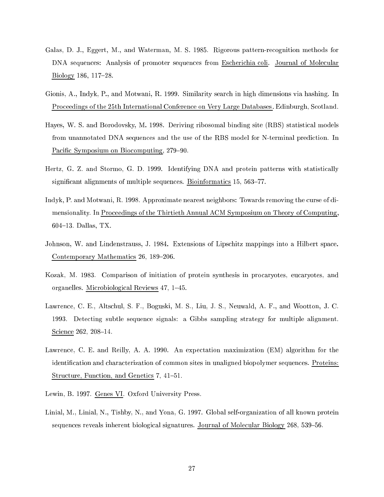- Galas, D. J., Eggert, M., and Waterman, M. S. 1985. Rigorous pattern-recognition methods for DNA sequences: Analysis of promoter sequences from Escherichia coli. Journal of Molecular Biology 186, 117-28.
- Gionis, A., Indyk, P., and Motwani, R. 1999. Similarity search in high dimensions via hashing. In Proceedings of the 25th International Conference on Very Large Databases. Edinburgh, Scotland.
- Hayes, W. S. and Borodovsky, M. 1998. Deriving ribosomal binding site (RBS) statistical models from unannotated DNA sequences and the use of the RBS model for N-terminal prediction. In Pacific Symposium on Biocomputing, 279–90.
- Hertz, G. Z. and Stormo, G. D. 1999. Identifying DNA and protein patterns with statistically significant alignments of multiple sequences. Bioinformatics 15, 563–77.
- Indyk, P. and Motwani, R. 1998. Approximate nearest neighbors: Towards removing the curse of dimensionality. In Proceedings of the Thirtieth Annual ACM Symposium on Theory of Computing, 604-13. Dallas, TX.
- Johnson, W. and Lindenstrauss, J. 1984. Extensions of Lipschitz mappings into a Hilbert space. Contemporary Mathematics 26, 189-206.
- Kozak, M. 1983. Comparison of initiation of protein synthesis in procaryotes, eucaryotes, and organelles. Microbiological Reviews 47, 1-45.
- Lawrence, C. E., Altschul, S. F., Boguski, M. S., Liu, J. S., Neuwald, A. F., and Wootton, J. C. 1993. Detecting subtle sequence signals: a Gibbs sampling strategy for multiple alignment. Science 262, 208-14.
- Lawrence, C. E. and Reilly, A. A. 1990. An expectation maximization (EM) algorithm for the identification and characterization of common sites in unaligned biopolymer sequences. Proteins: Structure, Function, and Genetics 7, 41-51.
- Lewin, B. 1997. Genes VI. Oxford University Press.
- Linial, M., Linial, N., Tishby, N., and Yona, G. 1997. Global self-organization of all known protein sequences reveals inherent biological signatures. Journal of Molecular Biology 268, 539–56.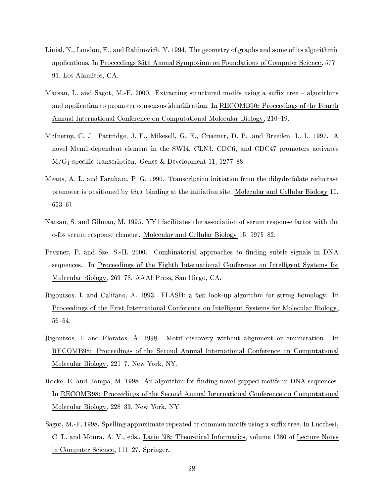- Linial, N., London, E., and Rabinovich, Y. 1994. The geometry of graphs and some of its algorithmic applications. In Proceedings 35th Annual Symposium on Foundations of Computer Science, 577– 91. Los Alamitos, CA.
- Marsan, L. and Sagot, M.-F. 2000. Extracting structured motifs using a suffix tree algorithms and application to promoter consensus identification. In RECOMB00: Proceedings of the Fourth Annual International Conference on Computational Molecular Biology, 210–19.
- McInerny, C. J., Partridge, J. F., Mikesell, G. E., Creemer, D. P., and Breeden, L. L. 1997. A novel Mcm1-dependent element in the SWI4, CLN3, CDC6, and CDC47 promoters activates  $M/G_1$ -specific transcription. Genes & Development 11, 1277–88.
- Means, A. L. and Farnham, P. G. 1990. Transcription initiation from the dihydrofolate reductase promoter is positioned by  $hip1$  binding at the initiation site. Molecular and Cellular Biology 10,  $653 - 61.$
- Natsan, S. and Gilman, M. 1995. YY1 facilitates the association of serum response factor with the c-fos serum response element. Molecular and Cellular Biology 15, 5975–82.
- Pevzner, P. and Sze, S.-H. 2000. Combinatorial approaches to finding subtle signals in DNA sequences. In Proceedings of the Eighth International Conference on Intelligent Systems for Molecular Biology, 269–78. AAAI Press, San Diego, CA.
- Rigoutsos, I. and Califano, A. 1993. FLASH: a fast look-up algorithm for string homology. In Proceedings of the First International Conference on Intelligent Systems for Molecular Biology.  $56 - 64.$
- Rigoutsos, I. and Floratos, A. 1998. Motif discovery without alignment or enumeration. In RECOMB98: Proceedings of the Second Annual International Conference on Computational Molecular Biology, 221-7. New York, NY.
- Rocke, E. and Tompa, M. 1998. An algorithm for finding novel gapped motifs in DNA sequences. In RECOMB98: Proceedings of the Second Annual International Conference on Computational Molecular Biology, 228–33. New York, NY.
- Sagot, M.-F. 1998. Spelling approximate repeated or common motifs using a suffix tree. In Lucchesi, C. L. and Moura, A. V., eds., Latin '98: Theoretical Informatics, volume 1380 of Lecture Notes in Computer Science, 111-27. Springer.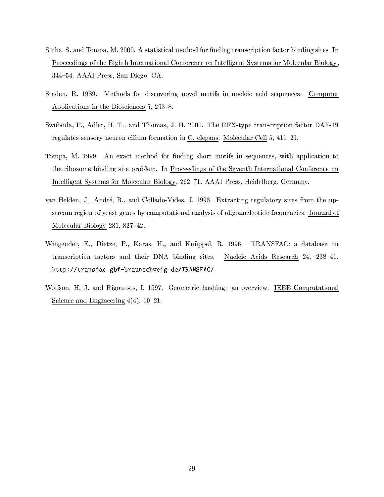- Sinha, S. and Tompa, M. 2000. A statistical method for finding transcription factor binding sites. In Proceedings of the Eighth International Conference on Intelligent Systems for Molecular Biology 344–54. AAAI Press, San Diego, CA.
- Staden, R. 1989. Methods for discovering novel motifs in nucleic acid sequences. Computer Applications in the Biosciences 5, 293-8.
- Swoboda, P., Adler, H. T., and Thomas, J. H. 2000. The RFX-type transcription factor DAF-19 regulates sensory neuron cilium formation in C. elegans. Molecular Cell 5, 411-21.
- Tompa, M. 1999. An exact method for finding short motifs in sequences, with application to the ribosome binding site problem. In Pro
eedings of the Seventh International Conferen
e on Intelligent Systems for Molecular Biology, 262–71. AAAI Press, Heidelberg, Germany.
- van Helden, J., André, B., and Collado-Vides, J. 1998. Extracting regulatory sites from the upstream region of yeast genes by computational analysis of oligonucleotide frequencies. Journal of Molecular Biology 281, 827-42.
- Wingender, E., Dietze, P., Karas, H., and Knuppel, R. 1996. TRANSFAC: a database on transcription factors and their DNA binding sites. Nucleic Acids Research 24, 238–41. http://transfa
.gbf-brauns
hweig.de/TRANSFAC/.
- Wolfson, H. J. and Rigoutsos, I. 1997. Geometri hashing: an overview. IEEE Computational Science and Engineering  $4(4)$ , 10-21.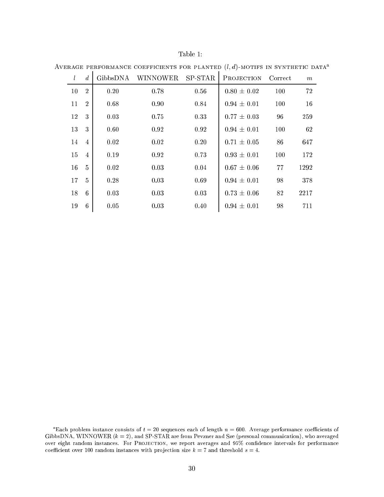| DI<br>1. |  |
|----------|--|
| г        |  |

| $l_{\rm}$ | d              | GibbsDNA | <b>WINNOWER</b> | SP-STAR | PROJECTION      | Correct | m    |  |
|-----------|----------------|----------|-----------------|---------|-----------------|---------|------|--|
| 10        | $\overline{2}$ | 0.20     | 0.78            | 0.56    | $0.80 \pm 0.02$ | 100     | 72   |  |
| 11        | $\overline{2}$ | 0.68     | 0.90            | 0.84    | $0.94 \pm 0.01$ | 100     | 16   |  |
| 12        | 3              | 0.03     | 0.75            | 0.33    | $0.77 \pm 0.03$ | 96      | 259  |  |
| 13        | 3              | 0.60     | 0.92            | 0.92    | $0.94 \pm 0.01$ | 100     | 62   |  |
| 14        | $\overline{4}$ | 0.02     | 0.02            | 0.20    | $0.71 \pm 0.05$ | 86      | 647  |  |
| 15        | 4              | 0.19     | 0.92            | 0.73    | $0.93 \pm 0.01$ | 100     | 172  |  |
| 16        | $\mathbf{5}$   | 0.02     | 0.03            | 0.04    | $0.67 \pm 0.06$ | 77      | 1292 |  |
| 17        | $\frac{5}{2}$  | 0.28     | 0.03            | 0.69    | $0.94 \pm 0.01$ | 98      | 378  |  |
| 18        | 6              | 0.03     | 0.03            | 0.03    | $0.73 \pm 0.06$ | 82      | 2217 |  |
| 19        | 6              | 0.05     | 0.03            | 0.40    | $0.94 \pm 0.01$ | 98      | 711  |  |

AVERAGE PERFORMANCE COEFFICIENTS FOR PLANTED  $(l, d)$ -MOTIFS IN SYNTHETIC DATA<sup>a</sup>

<sup>&</sup>quot;Each problem instance consists of  $t=$  20 sequences each of length  $n=$  600. Average performance coefficients of GibbsDNA, WINNOWER  $(k = 2)$ , and SP-STAR are from Pevzner and Sze (personal communication), who averaged over eight random instances. For PROJECTION, we report averages and 95% confidence intervals for performance coefficient over 100 random instances with projection size  $k = 7$  and threshold  $s = 4$ .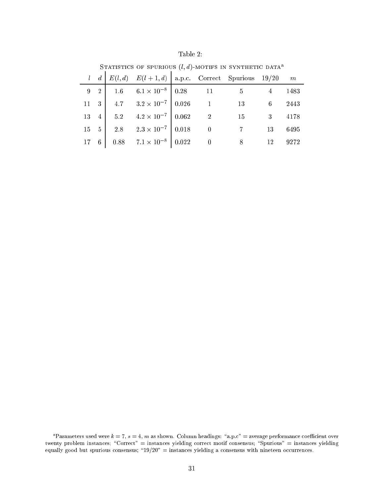| г.<br>н |  |
|---------|--|
| I<br>1. |  |

|  | $l \ d \mid E(l,d) \mid E(l+1,d) \mid \text{a.p.c.}$ Correct Spurious 19/20 m |  |           |      |
|--|-------------------------------------------------------------------------------|--|-----------|------|
|  | 9 2 1.6 $6.1 \times 10^{-8}$ 0.28 11 5 4 1483                                 |  |           |      |
|  | 11 3 4.7 $3.2 \times 10^{-7}$ 0.026 1 13 6 2443                               |  |           |      |
|  | 13 4 5.2 $4.2 \times 10^{-7}$ 0.062 2 15 3 4178                               |  |           |      |
|  | 15 5 2.8 $2.3 \times 10^{-7}$ 0.018 0                                         |  | 7 13 6495 |      |
|  | 17 6 0.88 $7.1 \times 10^{-8}$ 0.022 0 8 12                                   |  |           | 9272 |

STATISTICS OF SPURIOUS  $(l, d)$ -MOTIFS IN SYNTHETIC DATA<sup>a</sup>

<sup>&</sup>lt;sup>a</sup>Parameters used were  $k = 7$ ,  $s = 4$ , m as shown. Column headings: "a.p.c" = average performance coefficient over twenty problem instances; "Correct" = instances yielding correct motif consensus; "Spurious" = instances yielding equally good but spurious consensus; " $19/20$ " = instances yielding a consensus with nineteen occurrences.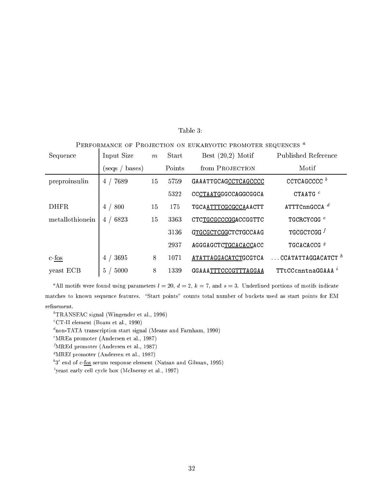| Table |
|-------|
|-------|

# PERFORMANCE OF PROJECTION ON EUKARYOTIC PROMOTER SEQUENCES  $a$

| Sequence        | Input Size     | m  | Start  | Best $(20,2)$ Motif  | <b>Published Reference</b>     |
|-----------------|----------------|----|--------|----------------------|--------------------------------|
|                 | (seqs / bases) |    | Points | from PROJECTION      | Motif                          |
| preproinsulin   | 4 / 7689       | 15 | 5759   | GAAATTGCAGCCTCAGCCCC | CCTCAGCCCC $b$                 |
|                 |                |    | 5322   | CCCTAATGGGCCAGGCGGCA | CTAATG <sup>c</sup>            |
| <b>DHFR</b>     | 4 / 800        | 15 | 175    | TGCAATTTCGCGCCAAACTT | $ATTCTCnnGCCA$ <sup>d</sup>    |
| metallothionein | 4 / 6823       | 15 | 3363   | CTCTGCGCCCGGACCGGTTC | TGCRCYCGG <sup>e</sup>         |
|                 |                |    | 3136   | GTGCGCTCGGCTCTGCCAAG | TGCGCTCGG $^f$                 |
|                 |                |    | 2937   | AGGGAGCTCTGCACACCACC | TGCACACCG <sup>9</sup>         |
| c-fos           | 4 / 3695       | 8  | 1071   | ATATTAGGACATCTGCGTCA | $\ldots$ CCATATTAGGACATCT $^h$ |
| yeast ECB       | 5000<br>5/     | 8  | 1339   | GGAAATTTCCCGTTTAGGAA | TTtCCcnntnaGGAAA <sup>i</sup>  |

<sup>a</sup>All motifs were found using parameters  $l = 20$ ,  $d = 2$ ,  $k = 7$ , and  $s = 3$ . Underlined portions of motifs indicate matches to known sequence features. "Start points" counts total number of buckets used as start points for EM refinement.

 ${}^{b} \text{TRANSFAC}$  signal (Wingender et al., 1996)

 $°CT-II$  element (Boam et al., 1990)

 $d$ non-TATA transcription start signal (Means and Farnham, 1990)

<sup>e</sup>MREa promoter (Andersen et al., 1987)

 $^f$ MREd promoter (Andersen et al., 1987)

<sup>9</sup>MREf promoter (Andersen et al., 1987)

 $^h3'$  end of c-fos serum response element (Natsan and Gilman, 1995)

'yeast early cell cycle box (McInerny et al., 1997)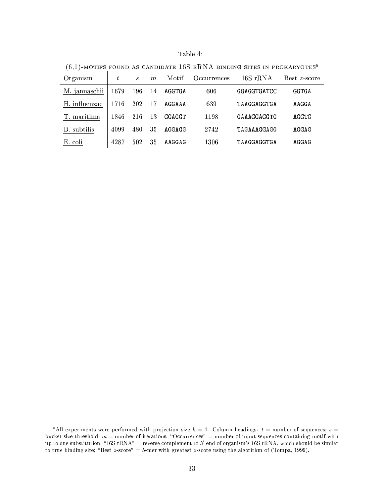| DΙ<br>∕1. |  |
|-----------|--|
|           |  |

| Organism      | t    | $\boldsymbol{s}$ | m   | Motif  | Occurrences | 16S rRNA    | Best z-score |
|---------------|------|------------------|-----|--------|-------------|-------------|--------------|
| M. jannaschii | 1679 | 196              | -14 | AGGTGA | 606         | GGAGGTGATCC | GGTGA        |
| H. influenzae | 1716 | 202              | 17  | AGGAAA | 639         | TAAGGAGGTGA | AAGGA        |
| maritima      | 1846 | 216              | 13  | GGAGGT | 1198        | GAAAGGAGGTG | AGGTG        |
| B. subtilis   | 4099 | 480              | 35  | AGGAGG | 2742        | TAGAAAGGAGG | AGGAG        |
| E. coli       | 4287 | 502              | 35  | AAGGAG | 1306        | TAAGGAGGTGA | AGGAG        |

 $(6,1)$ -MOTIFS FOUND AS CANDIDATE 16S RRNA BINDING SITES IN PROKARYOTES<sup>a</sup>

<sup>&</sup>lt;sup>a</sup>All experiments were performed with projection size  $k = 4$ . Column headings:  $t =$  number of sequences;  $s =$ bucket size threshold,  $m =$  number of iterations; "Occurrences" = number of input sequences containing motif with up to one substitution; "16S rRNA" = reverse complement to 3' end of organism's 16S rRNA, which should be similar to true binding site; "Best  $z$ -score" = 5-mer with greatest  $z$ -score using the algorithm of (Tompa, 1999).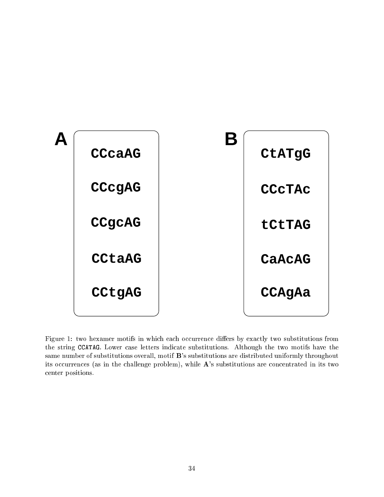

Figure 1: two hexamer motifs in which each occurrence differs by exactly two substitutions from the string CCATAG. Lower case letters indicate substitutions. Although the two motifs have the same number of substitutions overall, motif B's substitutions are distributed uniformly throughout its occurrences (as in the challenge problem), while A's substitutions are concentrated in its two enter positions.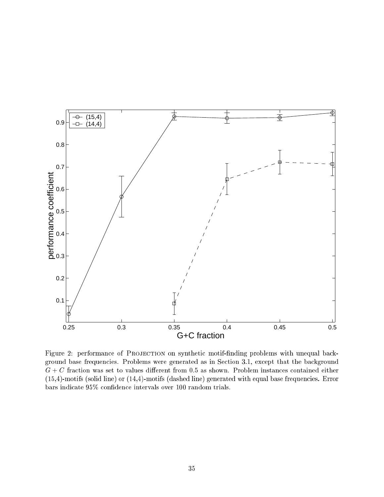

Figure 2: performance of PROJECTION on synthetic motif-finding problems with unequal background base frequencies. Problems were generated as in Section 3.1, except that the background  $G + C$  fraction was set to values different from 0.5 as shown. Problem instances contained either (15,4)-motifs (solid line) or (14,4)-motifs (dashed line) generated with equal base frequencies. Error bars indi
ate 95% onden
e intervals over 100 random trials.